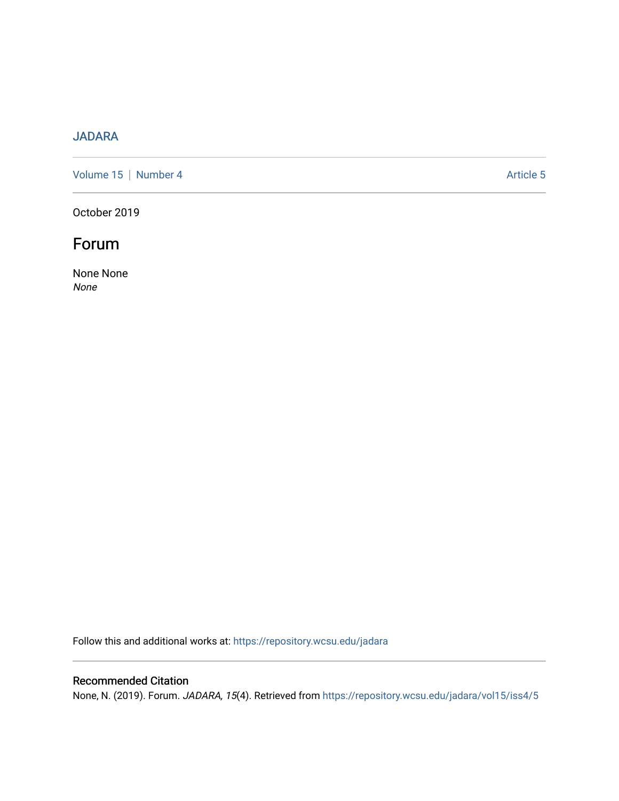## [JADARA](https://repository.wcsu.edu/jadara)

[Volume 15](https://repository.wcsu.edu/jadara/vol15) | [Number 4](https://repository.wcsu.edu/jadara/vol15/iss4) Article 5

October 2019

## Forum

None None None

Follow this and additional works at: [https://repository.wcsu.edu/jadara](https://repository.wcsu.edu/jadara?utm_source=repository.wcsu.edu%2Fjadara%2Fvol15%2Fiss4%2F5&utm_medium=PDF&utm_campaign=PDFCoverPages)

### Recommended Citation

None, N. (2019). Forum. JADARA, 15(4). Retrieved from [https://repository.wcsu.edu/jadara/vol15/iss4/5](https://repository.wcsu.edu/jadara/vol15/iss4/5?utm_source=repository.wcsu.edu%2Fjadara%2Fvol15%2Fiss4%2F5&utm_medium=PDF&utm_campaign=PDFCoverPages)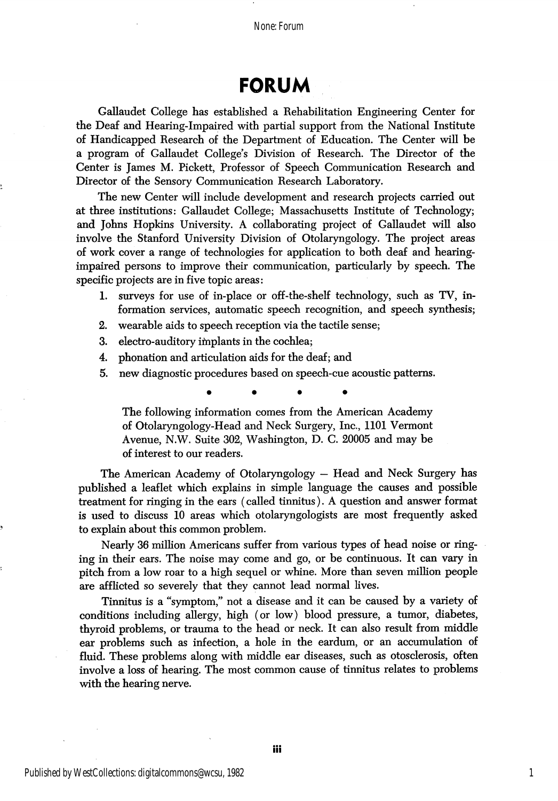None: Forum

# FORUM

Gallaudet College has established a Rehabilitation Engineering Center for the Deaf and Hearing-Impaired with partial support from the National Institute of Handicapped Research of the Department of Education. The Center will be a program of Callaudet College's Division of Research. The Director of the Center is James M. Pickett, Professor of Speech Communication Research and Director of the Sensory Communication Research Laboratory.

The new Center will include development and research projects carried out at three institutions: Callaudet College; Massachusetts Institute of Technology; and Johns Hopkins University. A collaborating project of Callaudet wiU also involve the Stanford University Division of Otolaryngology. The project areas of work cover a range of technologies for application to both deaf and hearingimpaired persons to improve their communication, particularly by speech. The specific projects are in five topic areas:

- 1. surveys for use of in-place or off-the-shelf technology, such as TV, in formation services, automatic speech recognition, and speech synthesis;
- 2. wearable aids to speech reception via the tactile sense;
- 3. electro-auditory implants in the cochlea;
- 4. phonation and articulation aids for the deaf; and
- 5. new diagnostic procedures based on speech-cue acoustic patterns.

The following information comes from the American Academy of Otolaryngology-Head and Neck Surgery, Inc., 1101 Vermont Avenue, N.W. Suite 302, Washington, D. C. 20005 and may be of interest to our readers.

The American Academy of Otolaryngology — Head and Neck Surgery has published a leaflet which explains in simple language the causes and possible treatment for ringing in the ears (called tinnitus). A question and answer format is used to discuss 10 areas which otolaryngologists are most frequently asked to explain about this common problem.

Nearly 36 million Americans suffer from various types of head noise or ring ing in their ears. The noise may come and go, or be continuous. It can vary in pitch from a low roar to a high sequel or whine. More than seven million people are afflicted so severely that they cannot lead normal lives.

Tinnitus is a "symptom," not a disease and it can be caused by a variety of conditions including allergy, high (or low) blood pressure, a tumor, diabetes, thyroid problems, or trauma to the head or neck. It can also result from middle ear problems such as infection, a hole in the eardum, or an accumulation of fluid. These problems along with middle ear diseases, such as otosclerosis, often involve a loss of hearing. The most common cause of tinnitus relates to problems with the hearing nerve.

1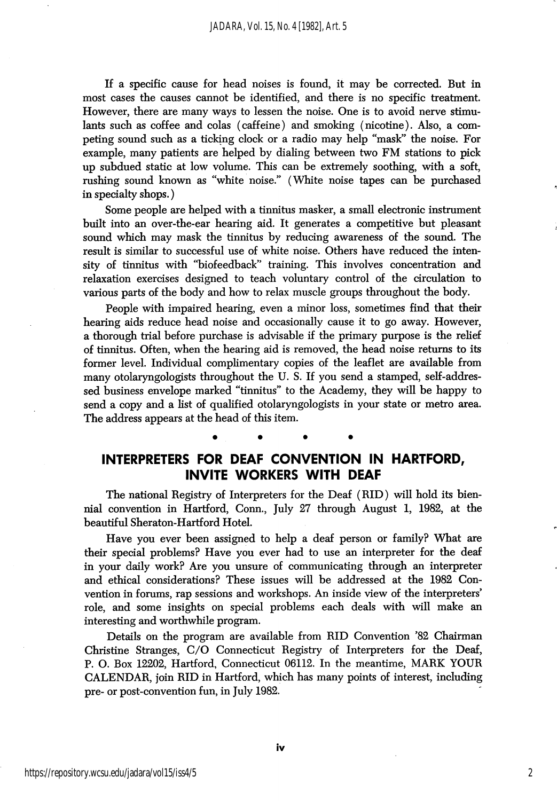If a specific cause for head noises is found, it may be corrected. But in most cases the causes cannot be identified, and there is no specific treatment. However, there are many ways to lessen the noise. One is to avoid nerve stimu lants such as coffee and colas (caffeine) and smoking (nicotine). Also, a com peting sound such as a ticking clock or a radio may help "mask" the noise. For example, many patients are helped by dialing between two FM stations to pick up subdued static at low volume. This can be extremely soothing, with a soft, rushing sound known as "white noise." (White noise tapes can be purchased in specialty shops.)

Some people are helped with a tinnitus masker, a small electronic instrument built into an over-the-ear hearing aid. It generates a competitive but pleasant sound which may mask the tinnitus by reducing awareness of the sound. The result is similar to successful use of white noise. Others have reduced the inten sity of tinnitus with "biofeedback" training. This involves concentration and relaxation exercises designed to teach voluntary control of the circulation to various parts of the body and how to relax muscle groups throughout the body.

People with impaired hearing, even a minor loss, sometimes find that their hearing aids reduce head noise and occasionally cause it to go away. However, a thorough trial before purchase is advisable if the primary purpose is the relief of tinnitus. Often, when the hearing aid is removed, the head noise returns to its former level. Individual complimentary copies of the leaflet are available from many otolaryngologists throughout the U. S. If you send a stamped, self-addres sed business envelope marked "tinnitus" to the Academy, they will be happy to send a copy and a list of qualified otolaryngologists in your state or metro area. The address appears at the head of this item.

#### INTERPRETERS FOR DEAF CONVENTION IN HARTFORD, INVITE WORKERS WITH DEAF

The national Registry of Interpreters for the Deaf (RID) will hold its bien nial convention in Hartford, Conn., July 27 through August 1, 1982, at the beautiful Sheraton-Hartford Hotel.

Have you ever been assigned to help a deaf person or family? What are their special problems? Have you ever had to use an interpreter for the deaf in your daily work? Are you unsure of communicating through an interpreter and ethical considerations? These issues will be addressed at the 1982 Con vention in forums, rap sessions and workshops. An inside view of the interpreters' role, and some insights on special problems each deals with will make an interesting and worthwhile program.

Details on the program are available from RID Convention '82 Chairman Christine Stranges, C/O Connecticut Registry of Interpreters for the Deaf, P. O. Box 12202, Hartford, Connecticut 06112. In the meantime, MARK YOUR CALENDAR, join RID in Hartford, which has many points of interest, including pre- or post-convention fun, in July 1982.

2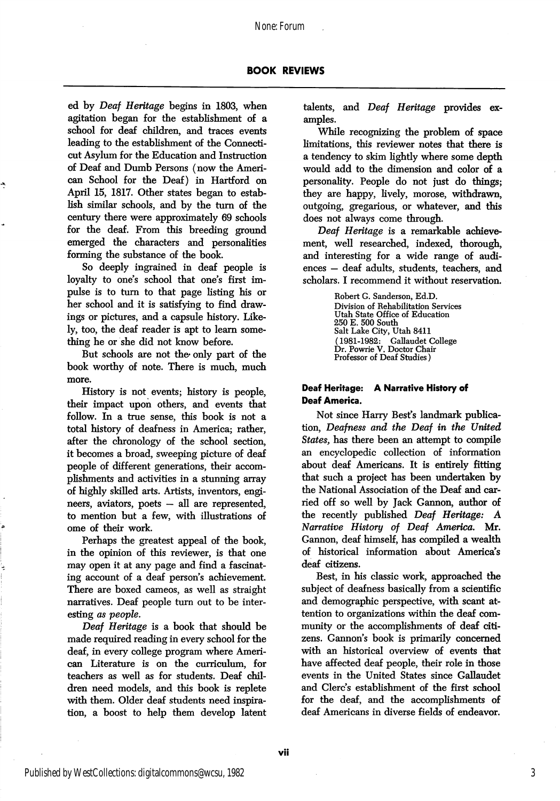None: Forum

ed by Deaf Heritage begins in 1803, when agitation began for the establishment of a school for deaf children, and traces events leading to the establishment of the Connecti cut Asylum for the Education and Instruction of Deaf and Dumb Persons (now the Ameri can School for the Deaf) in Hartford on April 15, 1817. Other states began to estab lish similar schools, and by the turn of the century there were approximately 69 schools for the deaf. From this breeding ground emerged the characters and personalities forming the substance of the book.

So deeply ingrained in deaf people is loyalty to one's school that one's first impulse is to turn to that page listing his or her school and it is satisfying to find draw ings or pictures, and a capsule history. Like ly, too, the deaf reader is apt to leam some thing he or she did not know before.

But schools are not the only part of the book worthy of note. There is much, much more.

History is not events; history is people, their impact upon others, and events that follow. In a true sense, this book is not a total history of deafness in America; rather, after the chronology of the school section, it becomes a broad, sweeping picture of deaf people of different generations, their accom plishments and activities in a stunning array of highly skilled arts. Artists, inventors, engi neers, aviators, poets — all are represented, to mention but a few, with illustrations of ome of their work.

Perhaps the greatest appeal of the book, in the opinion of this reviewer, is that one may open it at any page and find a fascinat ing account of a deaf person's achievement. There are boxed cameos, as well as straight narratives. Deaf people turn out to be inter esting as people.

Deaf Heritage is a book that should be made required reading in every school for the deaf, in every college program where American Literature is on the curriculum, for teachers as well as for students. Deaf chil dren need models, and this book is replete with them. Older deaf students need inspira tion, a boost to help them develop latent talents, and Deaf Heritage provides ex amples.

While recognizing the problem of space limitations, this reviewer notes that there is a tendency to skim lightly where some depth would add to the dimension and color of a personality. People do not just do things; they are happy, lively, morose, withdrawn, outgoing, gregarious, or whatever, and this does not always come through.

Deaf Heritage is a remarkable achieve ment, well researched, indexed, thorough, and interesting for a wide range of audi ences — deaf adults, students, teachers, and scholars. I recommend it without reservation.

> Robert G. Sanderson, Ed.D. Division of Rehabilitation Services Utah State Office of Education 250 E. 500 South Salt Lake City, Utah 8411 (1981-1982: Gallaudet College Dr. Powrie V. Doctor Chair Professor of Deaf Studies)

#### Deaf Heritage: A Narrative History of Deaf America.

Not since Harry Best's landmark publica tion, Deafness and the Deaf in the United States, has there been an attempt to compile an encyclopedic collection of information about deaf Americans. It is entirely fitting that such a project has been undertaken by the National Association of the Deaf and car ried off so well by Jack Gannon, author of the recently published Deaf Heritage: A Narrative History of Deaf America. Mr. Gannon, deaf himself, has compiled a wealth of historical information about America's deaf citizens.

Best, in his classic work, approached the subject of deafness basically from a scientific and demographic perspective, with scant at tention to organizations within the deaf com munity or the accomplishments of deaf citi zens. Gannon's book is primarily concerned with an historical overview of events that have affected deaf people, their role in those events in the United States since Gallaudet and Glerc's establishment of the first school for the deaf, and the accomplishments of deaf Americans in diverse fields of endeavor.